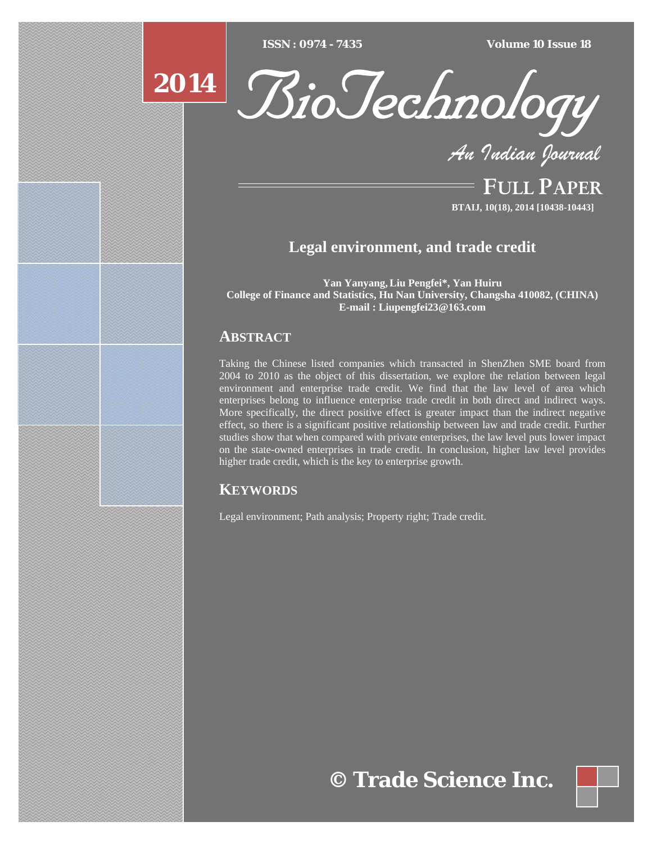$\overline{ISSN} : 0974 - 7435$ 

*ISSN : 0974 - 7435 Volume 10 Issue 18*





*An Indian Journal*

FULL PAPER **BTAIJ, 10(18), 2014 [10438-10443]**

# **Legal environment, and trade credit**

**Yan Yanyang,Liu Pengfei\*, Yan Huiru College of Finance and Statistics, Hu Nan University, Changsha 410082, (CHINA) E-mail : Liupengfei23@163.com**

# **ABSTRACT**

Taking the Chinese listed companies which transacted in ShenZhen SME board from 2004 to 2010 as the object of this dissertation, we explore the relation between legal environment and enterprise trade credit. We find that the law level of area which enterprises belong to influence enterprise trade credit in both direct and indirect ways. More specifically, the direct positive effect is greater impact than the indirect negative effect, so there is a significant positive relationship between law and trade credit. Further studies show that when compared with private enterprises, the law level puts lower impact on the state-owned enterprises in trade credit. In conclusion, higher law level provides higher trade credit, which is the key to enterprise growth.

## **KEYWORDS**

Legal environment; Path analysis; Property right; Trade credit.

# **© Trade Science Inc.**

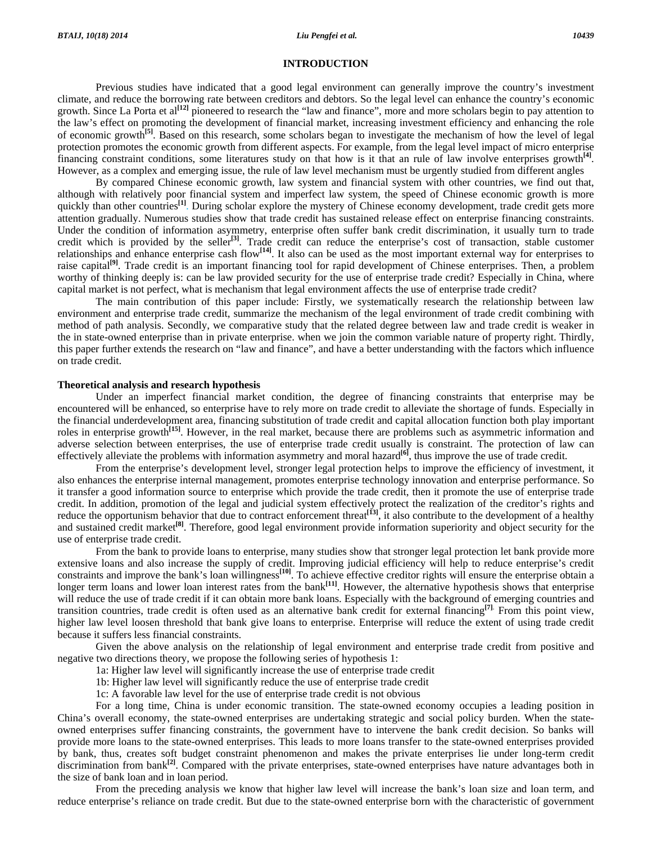#### **INTRODUCTION**

 Previous studies have indicated that a good legal environment can generally improve the country's investment climate, and reduce the borrowing rate between creditors and debtors. So the legal level can enhance the country's economic growth. Since La Porta et al**[12]** pioneered to research the "law and finance", more and more scholars begin to pay attention to the law's effect on promoting the development of financial market, increasing investment efficiency and enhancing the role of economic growth**[5]**. Based on this research, some scholars began to investigate the mechanism of how the level of legal protection promotes the economic growth from different aspects. For example, from the legal level impact of micro enterprise financing constraint conditions, some literatures study on that how is it that an rule of law involve enterprises growth**[4]**. However, as a complex and emerging issue, the rule of law level mechanism must be urgently studied from different angles

 By compared Chinese economic growth, law system and financial system with other countries, we find out that, although with relatively poor financial system and imperfect law system, the speed of Chinese economic growth is more quickly than other countries<sup>[1]</sup>. During scholar explore the mystery of Chinese economy development, trade credit gets more attention gradually. Numerous studies show that trade credit has sustained release effect on enterprise financing constraints. Under the condition of information asymmetry, enterprise often suffer bank credit discrimination, it usually turn to trade credit which is provided by the seller<sup>[3]</sup>. Trade credit can reduce the enterprise's cost of transaction, stable customer relationships and enhance enterprise cash flow**[14]**. It also can be used as the most important external way for enterprises to raise capital**[9]**. Trade credit is an important financing tool for rapid development of Chinese enterprises. Then, a problem worthy of thinking deeply is: can be law provided security for the use of enterprise trade credit? Especially in China, where capital market is not perfect, what is mechanism that legal environment affects the use of enterprise trade credit?

 The main contribution of this paper include: Firstly, we systematically research the relationship between law environment and enterprise trade credit, summarize the mechanism of the legal environment of trade credit combining with method of path analysis. Secondly, we comparative study that the related degree between law and trade credit is weaker in the in state-owned enterprise than in private enterprise. when we join the common variable nature of property right. Thirdly, this paper further extends the research on "law and finance", and have a better understanding with the factors which influence on trade credit.

#### **Theoretical analysis and research hypothesis**

 Under an imperfect financial market condition, the degree of financing constraints that enterprise may be encountered will be enhanced, so enterprise have to rely more on trade credit to alleviate the shortage of funds. Especially in the financial underdevelopment area, financing substitution of trade credit and capital allocation function both play important roles in enterprise growth**[15]**. However, in the real market, because there are problems such as asymmetric information and adverse selection between enterprises, the use of enterprise trade credit usually is constraint. The protection of law can effectively alleviate the problems with information asymmetry and moral hazard**[6]**, thus improve the use of trade credit.

 From the enterprise's development level, stronger legal protection helps to improve the efficiency of investment, it also enhances the enterprise internal management, promotes enterprise technology innovation and enterprise performance. So it transfer a good information source to enterprise which provide the trade credit, then it promote the use of enterprise trade credit. In addition, promotion of the legal and judicial system effectively protect the realization of the creditor's rights and reduce the opportunism behavior that due to contract enforcement threat<sup>[13]</sup>, it also contribute to the development of a healthy and sustained credit market<sup>[8]</sup>. Therefore, good legal environment provide information superiority and object security for the use of enterprise trade credit.

 From the bank to provide loans to enterprise, many studies show that stronger legal protection let bank provide more extensive loans and also increase the supply of credit. Improving judicial efficiency will help to reduce enterprise's credit constraints and improve the bank's loan willingness**[10]**. To achieve effective creditor rights will ensure the enterprise obtain a longer term loans and lower loan interest rates from the bank<sup>[11]</sup>. However, the alternative hypothesis shows that enterprise will reduce the use of trade credit if it can obtain more bank loans. Especially with the background of emerging countries and transition countries, trade credit is often used as an alternative bank credit for external financing**[7]**. From this point view, higher law level loosen threshold that bank give loans to enterprise. Enterprise will reduce the extent of using trade credit because it suffers less financial constraints.

 Given the above analysis on the relationship of legal environment and enterprise trade credit from positive and negative two directions theory, we propose the following series of hypothesis 1:

1a: Higher law level will significantly increase the use of enterprise trade credit

1b: Higher law level will significantly reduce the use of enterprise trade credit

1c: A favorable law level for the use of enterprise trade credit is not obvious

 For a long time, China is under economic transition. The state-owned economy occupies a leading position in China's overall economy, the state-owned enterprises are undertaking strategic and social policy burden. When the stateowned enterprises suffer financing constraints, the government have to intervene the bank credit decision. So banks will provide more loans to the state-owned enterprises. This leads to more loans transfer to the state-owned enterprises provided by bank, thus, creates soft budget constraint phenomenon and makes the private enterprises lie under long-term credit discrimination from bank<sup>[2]</sup>. Compared with the private enterprises, state-owned enterprises have nature advantages both in the size of bank loan and in loan period.

 From the preceding analysis we know that higher law level will increase the bank's loan size and loan term, and reduce enterprise's reliance on trade credit. But due to the state-owned enterprise born with the characteristic of government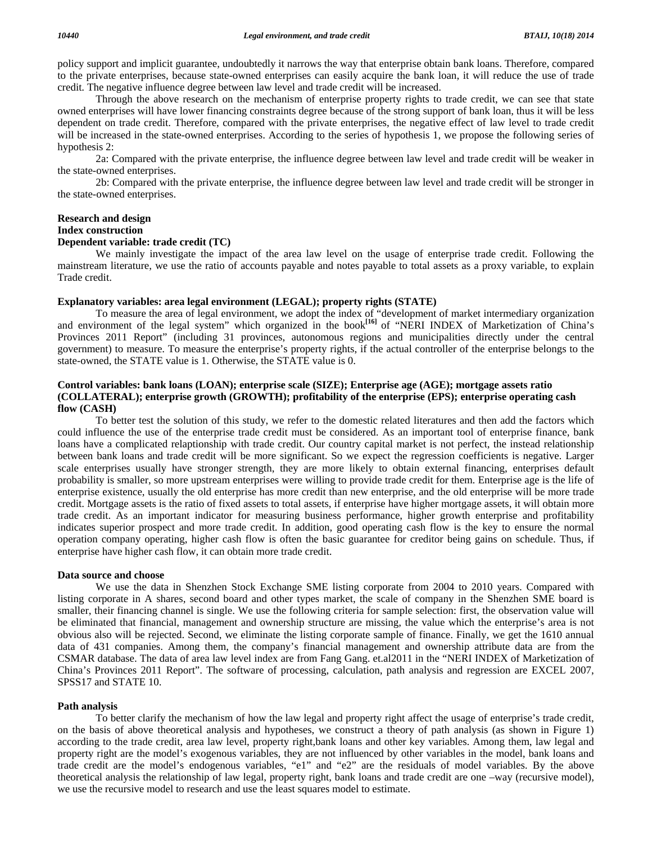policy support and implicit guarantee, undoubtedly it narrows the way that enterprise obtain bank loans. Therefore, compared to the private enterprises, because state-owned enterprises can easily acquire the bank loan, it will reduce the use of trade credit. The negative influence degree between law level and trade credit will be increased.

 Through the above research on the mechanism of enterprise property rights to trade credit, we can see that state owned enterprises will have lower financing constraints degree because of the strong support of bank loan, thus it will be less dependent on trade credit. Therefore, compared with the private enterprises, the negative effect of law level to trade credit will be increased in the state-owned enterprises. According to the series of hypothesis 1, we propose the following series of hypothesis 2:

 2a: Compared with the private enterprise, the influence degree between law level and trade credit will be weaker in the state-owned enterprises.

 2b: Compared with the private enterprise, the influence degree between law level and trade credit will be stronger in the state-owned enterprises.

### **Research and design Index construction**

### **Dependent variable: trade credit (TC)**

 We mainly investigate the impact of the area law level on the usage of enterprise trade credit. Following the mainstream literature, we use the ratio of accounts payable and notes payable to total assets as a proxy variable, to explain Trade credit.

#### **Explanatory variables: area legal environment (LEGAL); property rights (STATE)**

 To measure the area of legal environment, we adopt the index of "development of market intermediary organization and environment of the legal system" which organized in the book<sup>[16]</sup> of "NERI INDEX of Marketization of China's Provinces 2011 Report" (including 31 provinces, autonomous regions and municipalities directly under the central government) to measure. To measure the enterprise's property rights, if the actual controller of the enterprise belongs to the state-owned, the STATE value is 1. Otherwise, the STATE value is 0.

#### **Control variables: bank loans (LOAN); enterprise scale (SIZE); Enterprise age (AGE); mortgage assets ratio (COLLATERAL); enterprise growth (GROWTH); profitability of the enterprise (EPS); enterprise operating cash flow (CASH)**

 To better test the solution of this study, we refer to the domestic related literatures and then add the factors which could influence the use of the enterprise trade credit must be considered. As an important tool of enterprise finance, bank loans have a complicated relaptionship with trade credit. Our country capital market is not perfect, the instead relationship between bank loans and trade credit will be more significant. So we expect the regression coefficients is negative. Larger scale enterprises usually have stronger strength, they are more likely to obtain external financing, enterprises default probability is smaller, so more upstream enterprises were willing to provide trade credit for them. Enterprise age is the life of enterprise existence, usually the old enterprise has more credit than new enterprise, and the old enterprise will be more trade credit. Mortgage assets is the ratio of fixed assets to total assets, if enterprise have higher mortgage assets, it will obtain more trade credit. As an important indicator for measuring business performance, higher growth enterprise and profitability indicates superior prospect and more trade credit. In addition, good operating cash flow is the key to ensure the normal operation company operating, higher cash flow is often the basic guarantee for creditor being gains on schedule. Thus, if enterprise have higher cash flow, it can obtain more trade credit.

#### **Data source and choose**

 We use the data in Shenzhen Stock Exchange SME listing corporate from 2004 to 2010 years. Compared with listing corporate in A shares, second board and other types market, the scale of company in the Shenzhen SME board is smaller, their financing channel is single. We use the following criteria for sample selection: first, the observation value will be eliminated that financial, management and ownership structure are missing, the value which the enterprise's area is not obvious also will be rejected. Second, we eliminate the listing corporate sample of finance. Finally, we get the 1610 annual data of 431 companies. Among them, the company's financial management and ownership attribute data are from the CSMAR database. The data of area law level index are from Fang Gang. et.al2011 in the "NERI INDEX of Marketization of China's Provinces 2011 Report". The software of processing, calculation, path analysis and regression are EXCEL 2007, SPSS17 and STATE 10.

#### **Path analysis**

 To better clarify the mechanism of how the law legal and property right affect the usage of enterprise's trade credit, on the basis of above theoretical analysis and hypotheses, we construct a theory of path analysis (as shown in Figure 1) according to the trade credit, area law level, property right,bank loans and other key variables. Among them, law legal and property right are the model's exogenous variables, they are not influenced by other variables in the model, bank loans and trade credit are the model's endogenous variables, "e1" and "e2" are the residuals of model variables. By the above theoretical analysis the relationship of law legal, property right, bank loans and trade credit are one –way (recursive model), we use the recursive model to research and use the least squares model to estimate.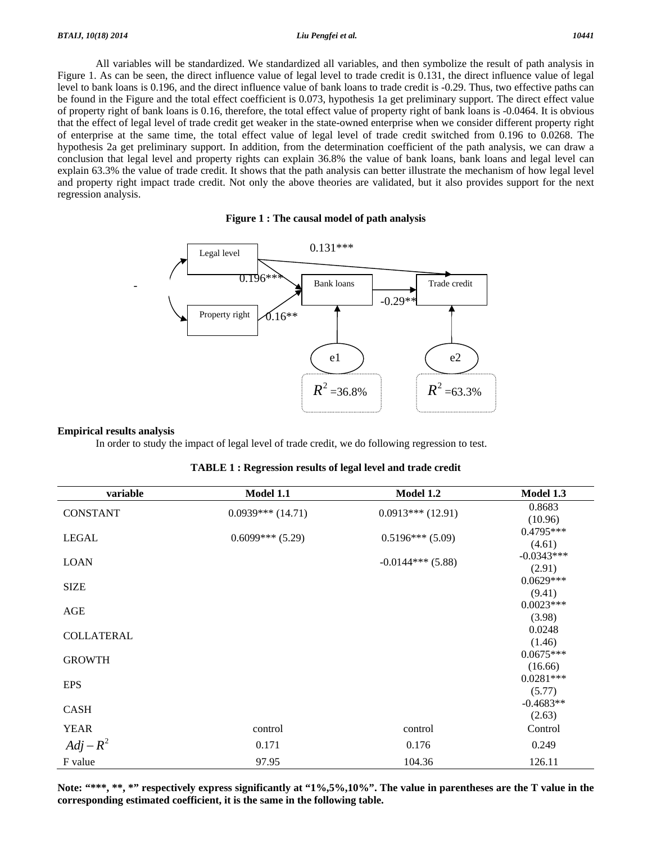All variables will be standardized. We standardized all variables, and then symbolize the result of path analysis in Figure 1. As can be seen, the direct influence value of legal level to trade credit is 0.131, the direct influence value of legal level to bank loans is 0.196, and the direct influence value of bank loans to trade credit is -0.29. Thus, two effective paths can be found in the Figure and the total effect coefficient is 0.073, hypothesis 1a get preliminary support. The direct effect value of property right of bank loans is 0.16, therefore, the total effect value of property right of bank loans is -0.0464. It is obvious that the effect of legal level of trade credit get weaker in the state-owned enterprise when we consider different property right of enterprise at the same time, the total effect value of legal level of trade credit switched from 0.196 to 0.0268. The hypothesis 2a get preliminary support. In addition, from the determination coefficient of the path analysis, we can draw a conclusion that legal level and property rights can explain 36.8% the value of bank loans, bank loans and legal level can explain 63.3% the value of trade credit. It shows that the path analysis can better illustrate the mechanism of how legal level and property right impact trade credit. Not only the above theories are validated, but it also provides support for the next regression analysis.

#### **Figure 1 : The causal model of path analysis**



#### **Empirical results analysis**

In order to study the impact of legal level of trade credit, we do following regression to test.

| variable          | Model 1.1          | Model 1.2           | Model 1.3              |
|-------------------|--------------------|---------------------|------------------------|
| <b>CONSTANT</b>   | $0.0939***(14.71)$ | $0.0913***(12.91)$  | 0.8683<br>(10.96)      |
| <b>LEGAL</b>      | $0.6099***$ (5.29) | $0.5196***$ (5.09)  | $0.4795***$<br>(4.61)  |
| <b>LOAN</b>       |                    | $-0.0144***$ (5.88) | $-0.0343***$<br>(2.91) |
| <b>SIZE</b>       |                    |                     | $0.0629***$<br>(9.41)  |
| AGE               |                    |                     | $0.0023***$<br>(3.98)  |
| <b>COLLATERAL</b> |                    |                     | 0.0248<br>(1.46)       |
| <b>GROWTH</b>     |                    |                     | $0.0675***$<br>(16.66) |
| <b>EPS</b>        |                    |                     | $0.0281***$<br>(5.77)  |
| CASH              |                    |                     | $-0.4683**$<br>(2.63)  |
| <b>YEAR</b>       | control            | control             | Control                |
| $Adj - R^2$       | 0.171              | 0.176               | 0.249                  |
| F value           | 97.95              | 104.36              | 126.11                 |

|  | <b>TABLE 1: Regression results of legal level and trade credit</b> |  |
|--|--------------------------------------------------------------------|--|
|  |                                                                    |  |

**Note: "\*\*\*, \*\*, \*" respectively express significantly at "1%,5%,10%". The value in parentheses are the T value in the corresponding estimated coefficient, it is the same in the following table.**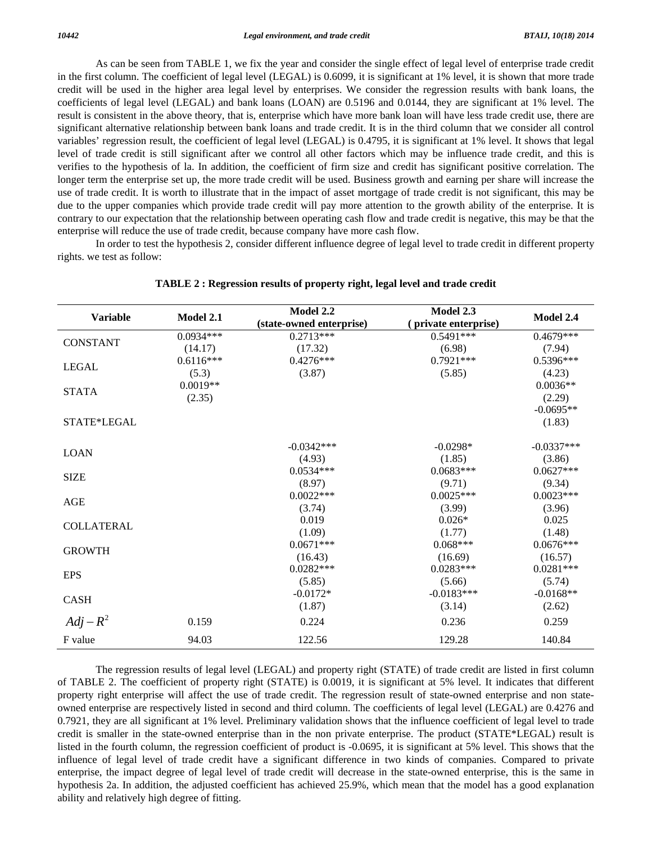As can be seen from TABLE 1, we fix the year and consider the single effect of legal level of enterprise trade credit in the first column. The coefficient of legal level (LEGAL) is 0.6099, it is significant at 1% level, it is shown that more trade credit will be used in the higher area legal level by enterprises. We consider the regression results with bank loans, the coefficients of legal level (LEGAL) and bank loans (LOAN) are 0.5196 and 0.0144, they are significant at 1% level. The result is consistent in the above theory, that is, enterprise which have more bank loan will have less trade credit use, there are significant alternative relationship between bank loans and trade credit. It is in the third column that we consider all control variables' regression result, the coefficient of legal level (LEGAL) is 0.4795, it is significant at 1% level. It shows that legal level of trade credit is still significant after we control all other factors which may be influence trade credit, and this is verifies to the hypothesis of la. In addition, the coefficient of firm size and credit has significant positive correlation. The longer term the enterprise set up, the more trade credit will be used. Business growth and earning per share will increase the use of trade credit. It is worth to illustrate that in the impact of asset mortgage of trade credit is not significant, this may be due to the upper companies which provide trade credit will pay more attention to the growth ability of the enterprise. It is contrary to our expectation that the relationship between operating cash flow and trade credit is negative, this may be that the enterprise will reduce the use of trade credit, because company have more cash flow.

 In order to test the hypothesis 2, consider different influence degree of legal level to trade credit in different property rights. we test as follow:

| <b>Variable</b>   | Model 2.1   | <b>Model 2.2</b><br>(state-owned enterprise) | Model 2.3<br>(private enterprise) | Model 2.4    |
|-------------------|-------------|----------------------------------------------|-----------------------------------|--------------|
| <b>CONSTANT</b>   | $0.0934***$ | $0.2713***$                                  | $0.5491***$                       | $0.4679***$  |
|                   | (14.17)     | (17.32)                                      | (6.98)                            | (7.94)       |
| <b>LEGAL</b>      | $0.6116***$ | $0.4276***$                                  | $0.7921***$                       | 0.5396***    |
|                   | (5.3)       | (3.87)                                       | (5.85)                            | (4.23)       |
| <b>STATA</b>      | $0.0019**$  |                                              |                                   | $0.0036**$   |
|                   | (2.35)      |                                              |                                   | (2.29)       |
|                   |             |                                              |                                   | $-0.0695**$  |
| STATE*LEGAL       |             |                                              |                                   | (1.83)       |
| <b>LOAN</b>       |             | $-0.0342***$                                 | $-0.0298*$                        | $-0.0337***$ |
|                   |             | (4.93)                                       | (1.85)                            | (3.86)       |
| <b>SIZE</b>       |             | $0.0534***$                                  | $0.0683***$                       | $0.0627***$  |
|                   |             | (8.97)                                       | (9.71)                            | (9.34)       |
|                   |             | $0.0022***$                                  | $0.0025***$                       | $0.0023***$  |
| AGE               |             | (3.74)                                       | (3.99)                            | (3.96)       |
| <b>COLLATERAL</b> |             | 0.019                                        | $0.026*$                          | 0.025        |
|                   |             | (1.09)                                       | (1.77)                            | (1.48)       |
| <b>GROWTH</b>     |             | $0.0671***$                                  | $0.068***$                        | $0.0676***$  |
|                   |             | (16.43)                                      | (16.69)                           | (16.57)      |
| <b>EPS</b>        |             | $0.0282***$                                  | $0.0283***$                       | $0.0281***$  |
|                   |             | (5.85)                                       | (5.66)                            | (5.74)       |
| <b>CASH</b>       |             | $-0.0172*$                                   | $-0.0183***$                      | $-0.0168**$  |
|                   |             | (1.87)                                       | (3.14)                            | (2.62)       |
| $Adj - R^2$       | 0.159       | 0.224                                        | 0.236                             | 0.259        |
| F value           | 94.03       | 122.56                                       | 129.28                            | 140.84       |

**TABLE 2 : Regression results of property right, legal level and trade credit** 

 The regression results of legal level (LEGAL) and property right (STATE) of trade credit are listed in first column of TABLE 2. The coefficient of property right (STATE) is 0.0019, it is significant at 5% level. It indicates that different property right enterprise will affect the use of trade credit. The regression result of state-owned enterprise and non stateowned enterprise are respectively listed in second and third column. The coefficients of legal level (LEGAL) are 0.4276 and 0.7921, they are all significant at 1% level. Preliminary validation shows that the influence coefficient of legal level to trade credit is smaller in the state-owned enterprise than in the non private enterprise. The product (STATE\*LEGAL) result is listed in the fourth column, the regression coefficient of product is -0.0695, it is significant at 5% level. This shows that the influence of legal level of trade credit have a significant difference in two kinds of companies. Compared to private enterprise, the impact degree of legal level of trade credit will decrease in the state-owned enterprise, this is the same in hypothesis 2a. In addition, the adjusted coefficient has achieved 25.9%, which mean that the model has a good explanation ability and relatively high degree of fitting.